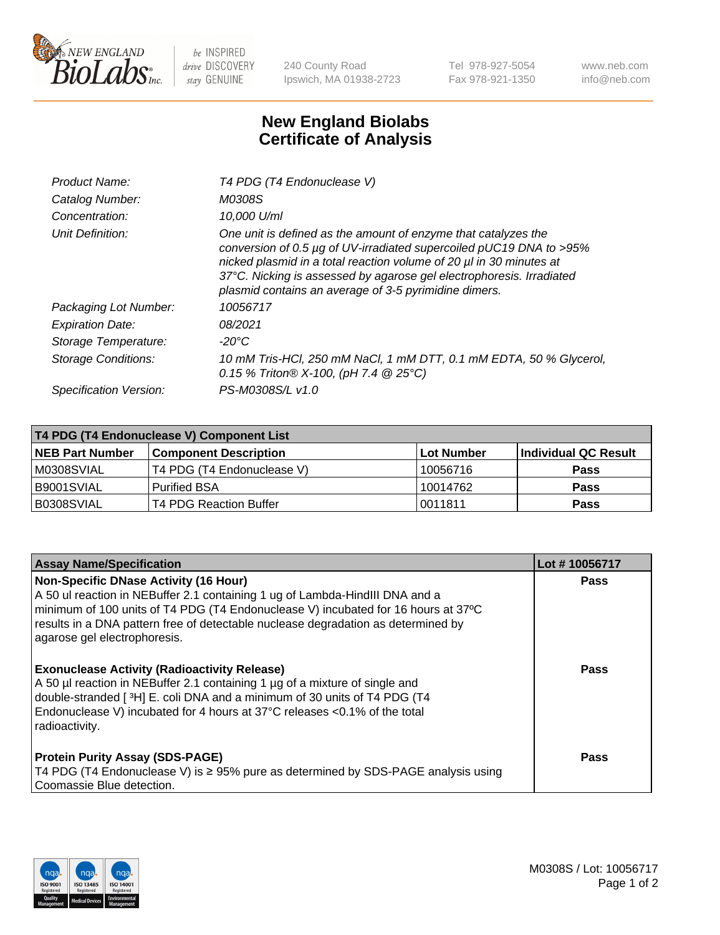

 $be$  INSPIRED drive DISCOVERY stay GENUINE

240 County Road Ipswich, MA 01938-2723 Tel 978-927-5054 Fax 978-921-1350 www.neb.com info@neb.com

## **New England Biolabs Certificate of Analysis**

| Product Name:              | T4 PDG (T4 Endonuclease V)                                                                                                                                                                                                                                                                                                                    |
|----------------------------|-----------------------------------------------------------------------------------------------------------------------------------------------------------------------------------------------------------------------------------------------------------------------------------------------------------------------------------------------|
| Catalog Number:            | M0308S                                                                                                                                                                                                                                                                                                                                        |
| Concentration:             | 10.000 U/ml                                                                                                                                                                                                                                                                                                                                   |
| Unit Definition:           | One unit is defined as the amount of enzyme that catalyzes the<br>conversion of 0.5 µg of UV-irradiated supercoiled pUC19 DNA to >95%<br>nicked plasmid in a total reaction volume of 20 µl in 30 minutes at<br>37°C. Nicking is assessed by agarose gel electrophoresis. Irradiated<br>plasmid contains an average of 3-5 pyrimidine dimers. |
| Packaging Lot Number:      | 10056717                                                                                                                                                                                                                                                                                                                                      |
| <b>Expiration Date:</b>    | 08/2021                                                                                                                                                                                                                                                                                                                                       |
| Storage Temperature:       | $-20^{\circ}$ C                                                                                                                                                                                                                                                                                                                               |
| <b>Storage Conditions:</b> | 10 mM Tris-HCl, 250 mM NaCl, 1 mM DTT, 0.1 mM EDTA, 50 % Glycerol,<br>0.15 % Triton® X-100, (pH 7.4 @ 25°C)                                                                                                                                                                                                                                   |
| Specification Version:     | PS-M0308S/L v1.0                                                                                                                                                                                                                                                                                                                              |

| T4 PDG (T4 Endonuclease V) Component List |                              |            |                      |  |
|-------------------------------------------|------------------------------|------------|----------------------|--|
| <b>NEB Part Number</b>                    | <b>Component Description</b> | Lot Number | Individual QC Result |  |
| IM0308SVIAL                               | T4 PDG (T4 Endonuclease V)   | 10056716   | <b>Pass</b>          |  |
| IB9001SVIAL                               | <b>Purified BSA</b>          | 10014762   | <b>Pass</b>          |  |
| B0308SVIAL                                | T4 PDG Reaction Buffer       | 0011811    | Pass                 |  |

| <b>Assay Name/Specification</b>                                                                                                                                                                                                                                                                                                        | Lot #10056717 |
|----------------------------------------------------------------------------------------------------------------------------------------------------------------------------------------------------------------------------------------------------------------------------------------------------------------------------------------|---------------|
| <b>Non-Specific DNase Activity (16 Hour)</b><br>A 50 ul reaction in NEBuffer 2.1 containing 1 ug of Lambda-HindIII DNA and a<br>minimum of 100 units of T4 PDG (T4 Endonuclease V) incubated for 16 hours at 37°C<br>results in a DNA pattern free of detectable nuclease degradation as determined by<br>agarose gel electrophoresis. | <b>Pass</b>   |
| <b>Exonuclease Activity (Radioactivity Release)</b><br>A 50 µl reaction in NEBuffer 2.1 containing 1 µg of a mixture of single and<br>double-stranded [3H] E. coli DNA and a minimum of 30 units of T4 PDG (T4<br>Endonuclease V) incubated for 4 hours at 37°C releases <0.1% of the total<br>radioactivity.                          | <b>Pass</b>   |
| <b>Protein Purity Assay (SDS-PAGE)</b><br>T4 PDG (T4 Endonuclease V) is ≥ 95% pure as determined by SDS-PAGE analysis using<br>Coomassie Blue detection.                                                                                                                                                                               | Pass          |